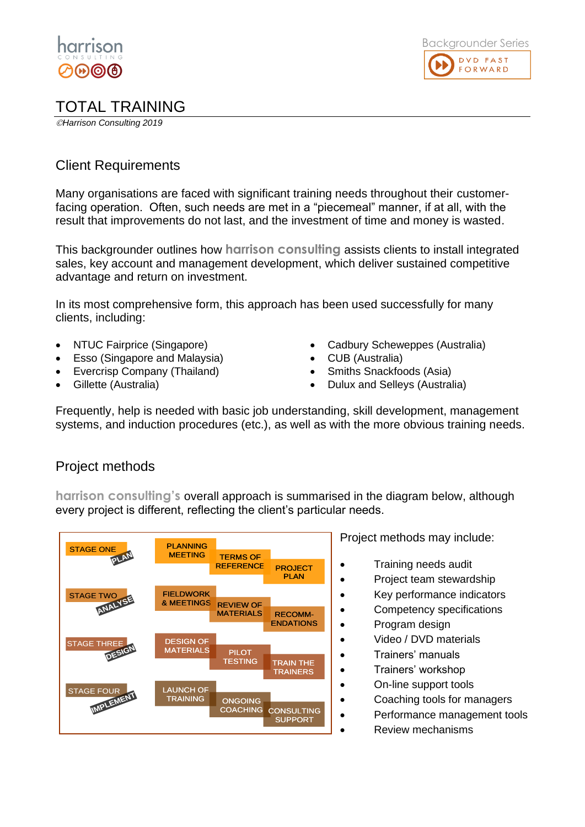

## TOTAL TRAINING

©*Harrison Consulting 2019*

## Client Requirements

Many organisations are faced with significant training needs throughout their customerfacing operation. Often, such needs are met in a "piecemeal" manner, if at all, with the result that improvements do not last, and the investment of time and money is wasted.

This backgrounder outlines how **harrison consulting** assists clients to install integrated sales, key account and management development, which deliver sustained competitive advantage and return on investment.

In its most comprehensive form, this approach has been used successfully for many clients, including:

- NTUC Fairprice (Singapore)
- Esso (Singapore and Malaysia)
- Evercrisp Company (Thailand)
- Gillette (Australia)
- Cadbury Scheweppes (Australia)
- CUB (Australia)
- Smiths Snackfoods (Asia)
- Dulux and Selleys (Australia)

Frequently, help is needed with basic job understanding, skill development, management systems, and induction procedures (etc.), as well as with the more obvious training needs.

## Project methods

**harrison consulting's** overall approach is summarised in the diagram below, although every project is different, reflecting the client's particular needs.



Project methods may include:

- Training needs audit
- Project team stewardship
- Key performance indicators
- Competency specifications
- Program design
	- Video / DVD materials
- Trainers' manuals
- Trainers' workshop
	- On-line support tools
	- Coaching tools for managers
- Performance management tools
	- Review mechanisms